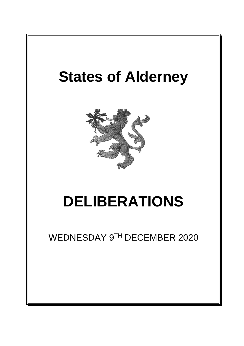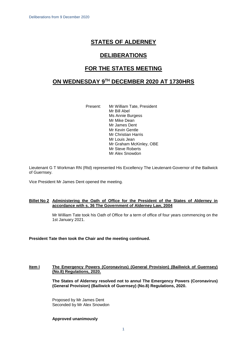# **STATES OF ALDERNEY**

# **DELIBERATIONS**

# **FOR THE STATES MEETING**

# **ON WEDNESDAY 9 TH DECEMBER 2020 AT 1730HRS**

Present: Mr William Tate, President Mr Bill Abel Ms Annie Burgess Mr Mike Dean Mr James Dent Mr Kevin Gentle Mr Christian Harris Mr Louis Jean Mr Graham McKinley, OBE Mr Steve Roberts Mr Alex Snowdon

Lieutenant G T Workman RN (Rtd) represented His Excellency The Lieutenant-Governor of the Bailiwick of Guernsey.

Vice President Mr James Dent opened the meeting.

# **Billet No 2 Administering the Oath of Office for the President of the States of Alderney in accordance with s. 36 The Government of Alderney Law, 2004**

Mr William Tate took his Oath of Office for a term of office of four years commencing on the 1st January 2021.

# **President Tate then took the Chair and the meeting continued.**

## **Item I The Emergency Powers (Coronavirus) (General Provision) (Bailiwick of Guernsey) (No.8) Regulations, 2020.**

**The States of Alderney resolved not to annul The Emergency Powers (Coronavirus) (General Provision) (Bailiwick of Guernsey) (No.8) Regulations, 2020.**

Proposed by Mr James Dent Seconded by Mr Alex Snowdon

# **Approved unanimously**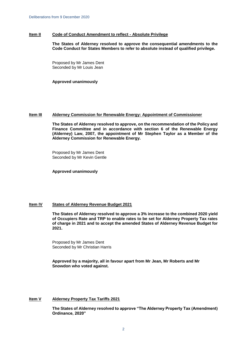#### **Item II Code of Conduct Amendment to reflect - Absolute Privilege**

**The States of Alderney resolved to approve the consequential amendments to the Code Conduct for States Members to refer to absolute instead of qualified privilege.**

Proposed by Mr James Dent Seconded by Mr Louis Jean

**Approved unanimously**

# **Item III Alderney Commission for Renewable Energy: Appointment of Commissioner**

**The States of Alderney resolved to approve, on the recommendation of the Policy and Finance Committee and in accordance with section 6 of the Renewable Energy (Alderney) Law, 2007, the appointment of Mr Stephen Taylor as a Member of the Alderney Commission for Renewable Energy.**

Proposed by Mr James Dent Seconded by Mr Kevin Gentle

**Approved unanimously**

# **Item IV States of Alderney Revenue Budget 2021**

**The States of Alderney resolved to approve a 3% increase to the combined 2020 yield of Occupiers Rate and TRP to enable rates to be set for Alderney Property Tax rates of charge in 2021 and to accept the amended States of Alderney Revenue Budget for 2021.** 

Proposed by Mr James Dent Seconded by Mr Christian Harris

**Approved by a majority, all in favour apart from Mr Jean, Mr Roberts and Mr Snowdon who voted against.**

## **Item V Alderney Property Tax Tariffs 2021**

**The States of Alderney resolved to approve "The Alderney Property Tax (Amendment) Ordinance, 2020"**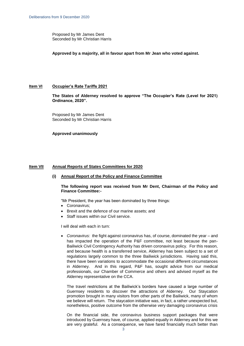Proposed by Mr James Dent Seconded by Mr Christian Harris

**Approved by a majority, all in favour apart from Mr Jean who voted against.**

## **Item VI Occupier's Rate Tariffs 2021**

**The States of Alderney resolved to approve "The Occupier's Rate (Level for 2021) Ordinance, 2020".**

Proposed by Mr James Dent Seconded by Mr Christian Harris

**Approved unanimously**

## **Item VII Annual Reports of States Committees for 2020**

## **(i) Annual Report of the Policy and Finance Committee**

## **The following report was received from Mr Dent, Chairman of the Policy and Finance Committee:-**

"Mr President, the year has been dominated by three things:

- Coronavirus:
- Brexit and the defence of our marine assets; and
- Staff issues within our Civil service.

I will deal with each in turn:

 *Coronavirus:* the fight against coronavirus has, of course, dominated the year – and has impacted the operation of the P&F committee, not least because the pan-Bailiwick Civil Contingency Authority has driven coronavirus policy. For this reason, and because health is a transferred service, Alderney has been subject to a set of regulations largely common to the three Bailiwick jurisdictions. Having said this, there have been variations to accommodate the occasional different circumstances in Alderney. And in this regard, P&F has, sought advice from our medical professionals, our Chamber of Commerce and others and advised myself as the Alderney representative on the CCA.

The travel restrictions at the Bailiwick's borders have caused a large number of Guernsey residents to discover the attractions of Alderney. Our Staycation promotion brought in many visitors from other parts of the Bailiwick, many of whom we believe will return. The staycation initiative was, in fact, a rather unexpected but, nonetheless, positive outcome from the otherwise very damaging coronavirus crisis

On the financial side, the coronavirus business support packages that were introduced by Guernsey have, of course, applied equally in Alderney and for this we are very grateful. As a consequence, we have fared financially much better than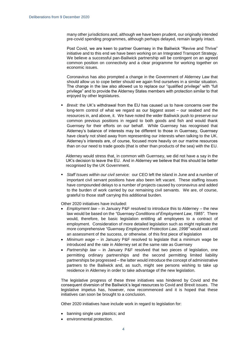many other jurisdictions and, although we have been prudent, our originally intended pre-covid spending programmes, although perhaps delayed, remain largely intact.

Post Covid, we are keen to partner Guernsey in the Bailiwick "Revive and Thrive" initiative and to this end we have been working on an Integrated Transport Strategy. We believe a successful pan-Bailiwick partnership will be contingent on an agreed common position on connectivity and a clear programme for working together on economic issues.

Coronavirus has also prompted a change in the Government of Alderney Law that should allow us to cope better should we again find ourselves in a similar situation. The change in the law also allowed us to replace our "qualified privilege" with "full privilege" and to provide the Alderney States members with protection similar to that enjoyed by other legislatures.

 *Brexit:* the UK's withdrawal from the EU has caused us to have concerns over the long-term control of what we regard as our biggest asset – our seabed and the resources in, and above, it. We have noted the wider Bailiwick push to preserve our common previous positions in regard to both goods and fish and would thank Guernsey for their efforts on our behalf. While Guernsey has recognised that Alderney's balance of interests may be different to those in Guernsey, Guernsey have clearly not shied away from representing our interests when talking to the UK. Alderney's interests are, of course, focused more heavily on our marine resources than on our need to trade goods (that is other than products of the sea) with the EU.

Alderney would stress that, in common with Guernsey, we did not have a say in the UK's decision to leave the EU. And in Alderney we believe that this should be better recognised by the UK Government.

 *Staff Issues within our civil service:* our CEO left the island in June and a number of important civil servant positions have also been left vacant. These staffing issues have compounded delays to a number of projects caused by coronavirus and added to the burden of work carried by our remaining civil servants. We are, of course, grateful to those staff carrying this additional burden.

Other 2020 initiatives have included:

- *Employment law* in January P&F resolved to introduce this to Alderney the new law would be based on the *"Guernsey Conditions of Employment Law, 1985"*. There would, therefore, be basic legislation entitling all employees to a contract of employment. Consideration of more detailed legislation such as might replicate the more comprehensive *"Guernsey Employment Protection Law, 1998"* would wait until an assessment of the success, or otherwise. of this first piece of legislation
- *Minimum wage –* in January P&F resolved to legislate that a minimum wage be introduced and the rate in Alderney set at the same rate as Guernsey
- *Partnership law* in January P&F resolved that two pieces of legislation, one permitting ordinary partnerships and the second permitting limited liability partnerships be progressed – the latter would introduce the concept of administrative partners to the Bailiwick and, as such, might see persons wishing to take up residence in Alderney in order to take advantage of the new legislation.

The legislative progress of these three initiatives was hindered by Covid and the consequent diversion of the Bailiwick's legal resources to Covid and Brexit issues. The legislative impetus has, however, now recommenced and it is hoped that these initiatives can soon be brought to a conclusion.

Other 2020 initiatives have include work in regard to legislation for:

- banning single use plastics; and
- environmental protection.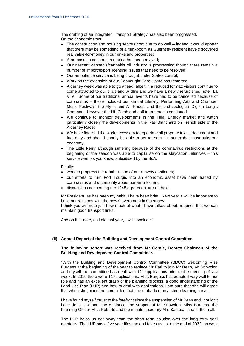The drafting of an Integrated Transport Strategy has also been progressed. On the economic front:

- The construction and housing sectors continue to do well indeed it would appear that there may be something of a mini-boom as Guernsey resident have discovered real value-for-money in our on-island properties;
- A proposal to construct a marina has been revived;
- Our nascent cannabis/cannabis oil industry is progressing though there remain a number of import/export licensing issues that need to be resolved;
- Our ambulance service is being brought under States control;
- Work on the extension of our Connaught Care Home has restarted;
- Alderney week was able to go ahead, albeit in a reduced format; visitors continue to come attracted to our birds and wildlife and we have a newly refurbished hotel, La Ville. Some of our traditional annual events have had to be cancelled because of coronavirus – these included our annual Literary, Performing Arts and Chamber Music Festivals, the Fly-in and Air Races, and the archaeological Dig on Longis Common. However the Hill Climb and golf tournaments continued;
- We continue to monitor developments in the Tidal Energy market and watch particularly closely the developments in the Ras Blanchard on French side of the Alderney Race;
- We have finalised the work necessary to repatriate all property taxes, document and fuel duty and should shortly be able to set rates in a manner that most suits our economy.
- The Little Ferry although suffering because of the coronavirus restrictions at the beginning of the season was able to capitalise on the staycation initiatives – this service was, as you know, subsidised by the SoA.

Finally:

- work to progress the rehabilitation of our runway continues;
- our efforts to turn Fort Tourgis into an economic asset have been halted by coronavirus and uncertainty about our air links; and
- discussions concerning the 1948 agreement are on hold.

Mr President, as has been my habit, I have been brief. Next year it will be important to build our relations with the new Government in Guernsey.

I think you will note just how much of what I have talked about, requires that we can maintain good transport links.

And on that note, as I did last year, I will conclude."

# **(ii) Annual Report of the Building and Development Control Committee**

## **The following report was received from Mr Gentle, Deputy Chairman of the Building and Development Control Committee:-**

''With the Building and Development Control Committee (BDCC) welcoming Miss Burgess at the beginning of the year to replace Mr Earl to join Mr Dean, Mr Snowdon and myself the committee has dealt with 121 applications prior to the meeting of last week. In 2019 there were 117 applications. Miss Burgess has adapted very well to her role and has an excellent grasp of the planning process, a good understanding of the Land Use Plan (LUP) and how to deal with applications. I am sure that she will agree that when she joined the committee that she embarked on a steep learning curve.

I have found myself thrust to the forefront since the suspension of Mr Dean and I couldn't have done it without the guidance and support of Mr Snowdon, Miss Burgess, the Planning Officer Miss Roberts and the minute secretary Mrs Baines. I thank them all.

The LUP helps us get away from the short term solution over the long term goal mentality. The LUP has a five year lifespan and takes us up to the end of 2022, so work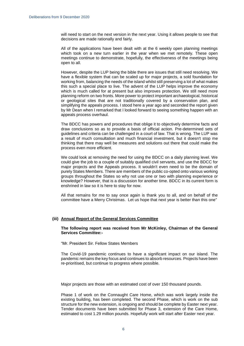will need to start on the next version in the next year. Using it allows people to see that decisions are made rationally and fairly.

All of the applications have been dealt with at the 6 weekly open planning meetings which took on a new turn earlier in the year when we met remotely. These open meetings continue to demonstrate, hopefully, the effectiveness of the meetings being open to all.

However, despite the LUP being the bible there are issues that still need resolving. We have a flexible system that can be scaled up for major projects, a sold foundation for working from, balancing the needs of the island whilst still preserving a lot of what makes this such a special place to live. The advent of the LUP helps improve the economy which is much called for at present but also improves protection. We still need more planning reform on two fronts. More power to protect important archaeological, historical or geological sites that are not traditionally covered by a conservation plan, and simplifying the appeals process. I stood here a year ago and seconded the report given by Mr Dean when I remarked that I looked forward to seeing something happen with an appeals process overhaul.

The BDCC has powers and procedures that oblige it to objectively determine facts and draw conclusions so as to provide a basis of official action. Pre-determined sets of guidelines and criteria can be challenged in a court of law. That is wrong. The LUP was a result of much consultation and much financial investment, but it doesn't stop me thinking that there may well be measures and solutions out there that could make the process even more efficient.

We could look at removing the need for using the BDCC on a daily planning level. We could give the job to a couple of suitably qualified civil servants, and use the BDCC for major projects and the Appeals process. It wouldn't even need to be the domain of purely States Members. There are members of the public co-opted onto various working groups throughout the States so why not use one or two with planning experience or knowledge? However, that is a discussion for another time. BDCC in its current form is enshrined in law so it is here to stay for now.

All that remains for me to say once again is thank you to all, and on behalf of the committee have a Merry Christmas. Let us hope that next year is better than this one''

## **(iii) Annual Report of the General Services Committee**

#### **The following report was received from Mr McKinley, Chairman of the General Services Committee:-**

"Mr. President Sir. Fellow States Members

The Covid-19 pandemic continues to have a significant impact on our island. The pandemic remains the key focus and continues to absorb resources. Projects have been re-prioritised, but continue to progress where possible.

Major projects are those with an estimated cost of over 150 thousand pounds.

Phase 1 of work on the Connaught Care Home, which was work largely inside the existing building, has been completed. The second Phase, which is work on the sub structure for the new extension, is ongoing and should be complete by Easter next year. Tender documents have been submitted for Phase 3, extension of the Care Home, estimated to cost 1.29 million pounds. Hopefully work will start after Easter next year.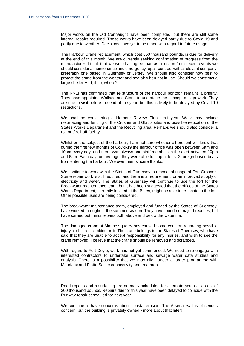Major works on the Old Connaught have been completed, but there are still some internal repairs required. These works have been delayed partly due to Covid-19 and partly due to weather. Decisions have yet to be made with regard to future usage.

The Harbour Crane replacement, which cost 850 thousand pounds, is due for delivery at the end of this month. We are currently seeking confirmation of progress from the manufacturer. I think that we would all agree that, as a lesson from recent events we should consider a maintenance and emergency repair contract with a relevant company, preferably one based in Guernsey or Jersey. We should also consider how best to protect the crane from the weather and sea air when not in use. Should we construct a large shelter And, if so, where?

The RNLI has confirmed that re structure of the harbour pontoon remains a priority. They have appointed Wallace and Stone to undertake the concept design work. They are due to visit before the end of the year, but this is likely to be delayed by Covid-19 restrictions.

We shall be considering a Harbour Review Plan next year. Work may include resurfacing and fencing of the Crusher and Glacis sites and possible relocation of the States Works Department and the Recycling area. Perhaps we should also consider a roll-on / roll-off facility.

Whilst on the subject of the harbour, I am not sure whether all present will know that during the first few months of Covid-19 the harbour office was open between 6am and 10pm every day, and there was always one staff member on the alert between 10pm and 6am. Each day, on average, they were able to stop at least 2 foreign based boats from entering the harbour. We owe them sincere thanks.

We continue to work with the States of Guernsey in respect of usage of Fort Grosnez. Some repair work is still required, and there is a requirement for an improved supply of electricity and water. The States of Guernsey will continue to use the fort for the Breakwater maintenance team, but It has been suggested that the offices of the States Works Department, currently located at the Butes, might be able to re-locate to the fort. Other possible uses are being considered.

The breakwater maintenance team, employed and funded by the States of Guernsey, have worked throughout the summer season. They have found no major breaches, but have carried out minor repairs both above and below the waterline.

The damaged crane at Mannez quarry has caused some concern regarding possible injury to children climbing on it. The crane belongs to the States of Guernsey, who have said that they are unable to accept responsibility for any injuries, and wish to see the crane removed. I believe that the crane should be removed and scrapped.

With regard to Fort Doyle, work has not yet commenced. We need to re-engage with interested contractors to undertake surface and sewage water data studies and analysis. There is a possibility that we may align under a larger programme with Mouriaux and Platte Saline connectivity and treatment.

Road repairs and resurfacing are normally scheduled for alternate years at a cost of 300 thousand pounds. Repairs due for this year have been delayed to coincide with the Runway repair scheduled for next year.

We continue to have concerns about coastal erosion. The Arsenal wall is of serious concern, but the building is privately owned - more about that later!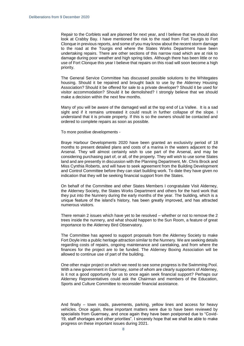Repair to the Corblets wall are planned for next year, and I believe that we should also look at Crabby Bay. I have mentioned the risk to the road from Fort Tourgis to Fort Clonque in previous reports, and some of you may know about the recent storm damage to the road at the Tourgis end where the States Works Department have been undertaking repairs. There are other sections of this narrow road which are at risk to damage during poor weather and high spring tides. Although there has been little or no use of Fort Clonque this year I believe that repairs on this road will soon become a high priority.

The General Service Committee has discussed possible solutions to the Whitegates housing. Should it be repaired and brought back to use by the Alderney Housing Association? Should it be offered for sale to a private developer? Should it be used for visitor accommodation? Should it be demolished? I strongly believe that we should make a decision within the next few months.

Many of you will be aware of the damaged wall at the top end of La Vallee. It is a sad sight and if it remains untreated it could result in further collapse of the slope. I understand that it is private property. If this is so the owners should be contacted and ordered to complete repairs as soon as possible.

To more positive developments -

Braye Harbour Developments 2020 have been granted an exclusivity period of 18 months to present detailed plans and costs of a marina in the waters adjacent to the Arsenal. They will almost certainly wish to use part of the Arsenal, and may be considering purchasing part of, or all, of the property. They will wish to use some States land and are presently in discussion with the Planning Department, Mr. Chris Brock and Miss Cynthia Roberts, and will have to seek agreement from the Building Development and Control Committee before they can start building work. To date they have given no indication that they will be seeking financial support from the States.

On behalf of the Committee and other States Members I congratulate Visit Alderney, the Alderney Society, the States Works Department and others for the hard work that they put into the Nunnery during the early months of the year. The building, which is a unique feature of the island's history, has been greatly improved, and has attracted numerous visitors.

There remain 2 issues which have yet to be resolved – whether or not to remove the 2 trees inside the nunnery, and what should happen to the Sun Room, a feature of great importance to the Alderney Bird Observatory.

The Committee has agreed to support proposals from the Alderney Society to make Fort Doyle into a public heritage attraction similar to the Nunnery. We are seeking details regarding costs of repairs, ongoing maintenance and caretaking, and from where the finances for the project are to be funded. The Alderney Boxing Association will be allowed to continue use of part of the building.

One other major project on which we need to see some progress is the Swimming Pool. With a new government in Guernsey, some of whom are clearly supporters of Alderney, is it not a good opportunity for us to once again seek financial support? Perhaps our Alderney Representatives could ask the Chairman and members of the Education, Sports and Culture Committee to reconsider financial assistance.

And finally – town roads, pavements, parking, yellow lines and access for heavy vehicles. Once again, these important matters were due to have been reviewed by specialists from Guernsey, and once again they have been postponed due to "Covid-19, staff shortages and other priorities". I sincerely hope that we shall be able to make progress on these important issues during 2021.